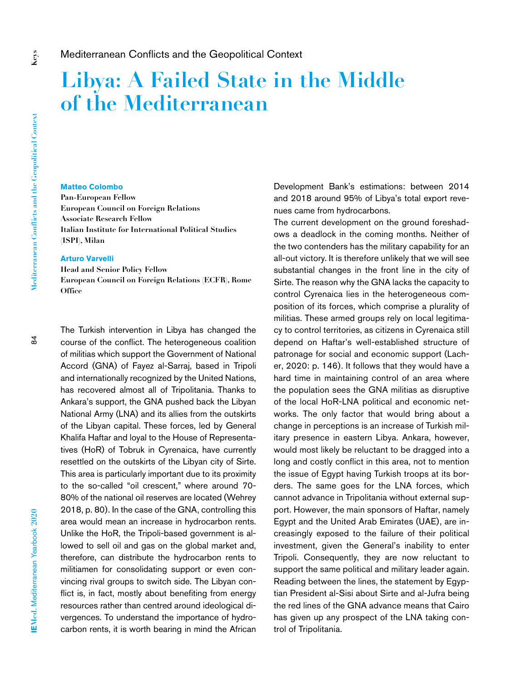# **Libya: A Failed State in the Middle of the Mediterranean**

# Mediterranean Conflicts and the Geopolitical Context **Mediterranean Conflicts and the Geopolitical Context**

 $\overline{4}$ 

**Matteo Colombo**

**Pan-European Fellow European Council on Foreign Relations Associate Research Fellow Italian Institute for International Political Studies (ISPI), Milan**

#### **Arturo Varvelli**

**Head and Senior Policy Fellow European Council on Foreign Relations (ECFR), Rome Office**

The Turkish intervention in Libya has changed the course of the conflict. The heterogeneous coalition of militias which support the Government of National Accord (GNA) of Fayez al-Sarraj, based in Tripoli and internationally recognized by the United Nations, has recovered almost all of Tripolitania. Thanks to Ankara's support, the GNA pushed back the Libyan National Army (LNA) and its allies from the outskirts of the Libyan capital. These forces, led by General Khalifa Haftar and loyal to the House of Representatives (HoR) of Tobruk in Cyrenaica, have currently resettled on the outskirts of the Libyan city of Sirte. This area is particularly important due to its proximity to the so-called "oil crescent," where around 70- 80% of the national oil reserves are located (Wehrey 2018, p. 80). In the case of the GNA, controlling this area would mean an increase in hydrocarbon rents. Unlike the HoR, the Tripoli-based government is allowed to sell oil and gas on the global market and, therefore, can distribute the hydrocarbon rents to militiamen for consolidating support or even convincing rival groups to switch side. The Libyan conflict is, in fact, mostly about benefiting from energy resources rather than centred around ideological divergences. To understand the importance of hydrocarbon rents, it is worth bearing in mind the African

Development Bank's estimations: between 2014 and 2018 around 95% of Libya's total export revenues came from hydrocarbons.

The current development on the ground foreshadows a deadlock in the coming months. Neither of the two contenders has the military capability for an all-out victory. It is therefore unlikely that we will see substantial changes in the front line in the city of Sirte. The reason why the GNA lacks the capacity to control Cyrenaica lies in the heterogeneous composition of its forces, which comprise a plurality of militias. These armed groups rely on local legitimacy to control territories, as citizens in Cyrenaica still depend on Haftar's well-established structure of patronage for social and economic support (Lacher, 2020: p. 146). It follows that they would have a hard time in maintaining control of an area where the population sees the GNA militias as disruptive of the local HoR-LNA political and economic networks. The only factor that would bring about a change in perceptions is an increase of Turkish military presence in eastern Libya. Ankara, however, would most likely be reluctant to be dragged into a long and costly conflict in this area, not to mention the issue of Egypt having Turkish troops at its borders. The same goes for the LNA forces, which cannot advance in Tripolitania without external support. However, the main sponsors of Haftar, namely Egypt and the United Arab Emirates (UAE), are increasingly exposed to the failure of their political investment, given the General's inability to enter Tripoli. Consequently, they are now reluctant to support the same political and military leader again. Reading between the lines, the statement by Egyptian President al-Sisi about Sirte and al-Jufra being the red lines of the GNA advance means that Cairo has given up any prospect of the LNA taking control of Tripolitania.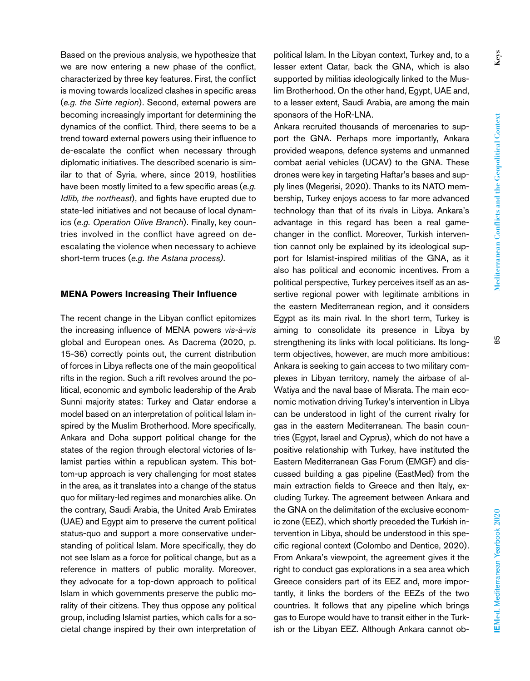Based on the previous analysis, we hypothesize that we are now entering a new phase of the conflict, characterized by three key features. First, the conflict is moving towards localized clashes in specific areas (*e.g. the Sirte region*). Second, external powers are becoming increasingly important for determining the dynamics of the conflict. Third, there seems to be a trend toward external powers using their influence to de-escalate the conflict when necessary through diplomatic initiatives. The described scenario is similar to that of Syria, where, since 2019, hostilities have been mostly limited to a few specific areas (*e.g. Idlib, the northeast*), and fights have erupted due to state-led initiatives and not because of local dynamics (*e.g. Operation Olive Branch*). Finally, key countries involved in the conflict have agreed on deescalating the violence when necessary to achieve short-term truces (*e.g. the Astana process).*

#### **MENA Powers Increasing Their Influence**

The recent change in the Libyan conflict epitomizes the increasing influence of MENA powers *vis-à-vis*  global and European ones. As Dacrema (2020, p. 15-36) correctly points out, the current distribution of forces in Libya reflects one of the main geopolitical rifts in the region. Such a rift revolves around the political, economic and symbolic leadership of the Arab Sunni majority states: Turkey and Qatar endorse a model based on an interpretation of political Islam inspired by the Muslim Brotherhood. More specifically, Ankara and Doha support political change for the states of the region through electoral victories of Islamist parties within a republican system. This bottom-up approach is very challenging for most states in the area, as it translates into a change of the status quo for military-led regimes and monarchies alike. On the contrary, Saudi Arabia, the United Arab Emirates (UAE) and Egypt aim to preserve the current political status-quo and support a more conservative understanding of political Islam. More specifically, they do not see Islam as a force for political change, but as a reference in matters of public morality. Moreover, they advocate for a top-down approach to political Islam in which governments preserve the public morality of their citizens. They thus oppose any political group, including Islamist parties, which calls for a societal change inspired by their own interpretation of

political Islam. In the Libyan context, Turkey and, to a lesser extent Qatar, back the GNA, which is also supported by militias ideologically linked to the Muslim Brotherhood. On the other hand, Egypt, UAE and, to a lesser extent, Saudi Arabia, are among the main sponsors of the HoR-LNA.

Ankara recruited thousands of mercenaries to support the GNA. Perhaps more importantly, Ankara provided weapons, defence systems and unmanned combat aerial vehicles (UCAV) to the GNA. These drones were key in targeting Haftar's bases and supply lines (Megerisi, 2020). Thanks to its NATO membership, Turkey enjoys access to far more advanced technology than that of its rivals in Libya. Ankara's advantage in this regard has been a real gamechanger in the conflict. Moreover, Turkish intervention cannot only be explained by its ideological support for Islamist-inspired militias of the GNA, as it also has political and economic incentives. From a political perspective, Turkey perceives itself as an assertive regional power with legitimate ambitions in the eastern Mediterranean region, and it considers Egypt as its main rival. In the short term, Turkey is aiming to consolidate its presence in Libya by strengthening its links with local politicians. Its longterm objectives, however, are much more ambitious: Ankara is seeking to gain access to two military complexes in Libyan territory, namely the airbase of al-Watiya and the naval base of Misrata. The main economic motivation driving Turkey's intervention in Libya can be understood in light of the current rivalry for gas in the eastern Mediterranean. The basin countries (Egypt, Israel and Cyprus), which do not have a positive relationship with Turkey, have instituted the Eastern Mediterranean Gas Forum (EMGF) and discussed building a gas pipeline (EastMed) from the main extraction fields to Greece and then Italy, excluding Turkey. The agreement between Ankara and the GNA on the delimitation of the exclusive economic zone (EEZ), which shortly preceded the Turkish intervention in Libya, should be understood in this specific regional context (Colombo and Dentice, 2020). From Ankara's viewpoint, the agreement gives it the right to conduct gas explorations in a sea area which Greece considers part of its EEZ and, more importantly, it links the borders of the EEZs of the two countries. It follows that any pipeline which brings gas to Europe would have to transit either in the Turkish or the Libyan EEZ. Although Ankara cannot ob-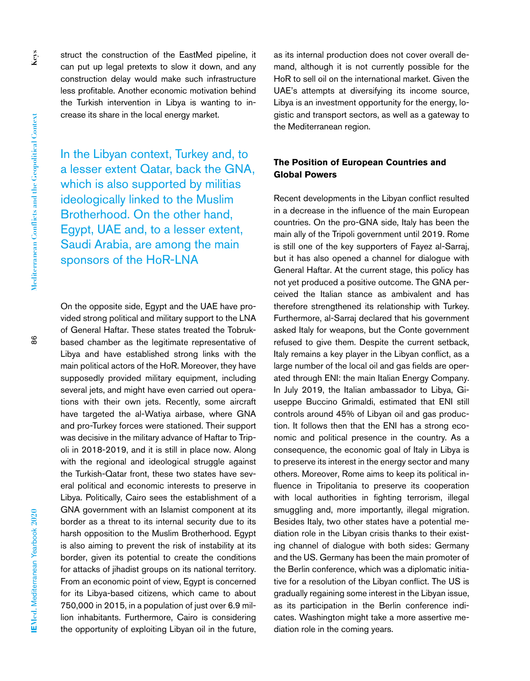struct the construction of the EastMed pipeline, it can put up legal pretexts to slow it down, and any construction delay would make such infrastructure less profitable. Another economic motivation behind the Turkish intervention in Libya is wanting to increase its share in the local energy market.

In the Libyan context, Turkey and, to a lesser extent Qatar, back the GNA, which is also supported by militias ideologically linked to the Muslim Brotherhood. On the other hand, Egypt, UAE and, to a lesser extent, Saudi Arabia, are among the main sponsors of the HoR-LNA

On the opposite side, Egypt and the UAE have provided strong political and military support to the LNA of General Haftar. These states treated the Tobrukbased chamber as the legitimate representative of Libya and have established strong links with the main political actors of the HoR. Moreover, they have supposedly provided military equipment, including several jets, and might have even carried out operations with their own jets. Recently, some aircraft have targeted the al-Watiya airbase, where GNA and pro-Turkey forces were stationed. Their support was decisive in the military advance of Haftar to Tripoli in 2018-2019, and it is still in place now. Along with the regional and ideological struggle against the Turkish-Qatar front, these two states have several political and economic interests to preserve in Libya. Politically, Cairo sees the establishment of a GNA government with an Islamist component at its border as a threat to its internal security due to its harsh opposition to the Muslim Brotherhood. Egypt is also aiming to prevent the risk of instability at its border, given its potential to create the conditions for attacks of jihadist groups on its national territory. From an economic point of view, Egypt is concerned for its Libya-based citizens, which came to about 750,000 in 2015, in a population of just over 6.9 million inhabitants. Furthermore, Cairo is considering the opportunity of exploiting Libyan oil in the future,

as its internal production does not cover overall demand, although it is not currently possible for the HoR to sell oil on the international market. Given the UAE's attempts at diversifying its income source, Libya is an investment opportunity for the energy, logistic and transport sectors, as well as a gateway to the Mediterranean region.

# **The Position of European Countries and Global Powers**

Recent developments in the Libyan conflict resulted in a decrease in the influence of the main European countries. On the pro-GNA side, Italy has been the main ally of the Tripoli government until 2019. Rome is still one of the key supporters of Fayez al-Sarraj, but it has also opened a channel for dialogue with General Haftar. At the current stage, this policy has not yet produced a positive outcome. The GNA perceived the Italian stance as ambivalent and has therefore strengthened its relationship with Turkey. Furthermore, al-Sarraj declared that his government asked Italy for weapons, but the Conte government refused to give them. Despite the current setback, Italy remains a key player in the Libyan conflict, as a large number of the local oil and gas fields are operated through ENI: the main Italian Energy Company. In July 2019, the Italian ambassador to Libya, Giuseppe Buccino Grimaldi, estimated that ENI still controls around 45% of Libyan oil and gas production. It follows then that the ENI has a strong economic and political presence in the country. As a consequence, the economic goal of Italy in Libya is to preserve its interest in the energy sector and many others. Moreover, Rome aims to keep its political influence in Tripolitania to preserve its cooperation with local authorities in fighting terrorism, illegal smuggling and, more importantly, illegal migration. Besides Italy, two other states have a potential mediation role in the Libyan crisis thanks to their existing channel of dialogue with both sides: Germany and the US. Germany has been the main promoter of the Berlin conference, which was a diplomatic initiative for a resolution of the Libyan conflict. The US is gradually regaining some interest in the Libyan issue, as its participation in the Berlin conference indicates. Washington might take a more assertive mediation role in the coming years.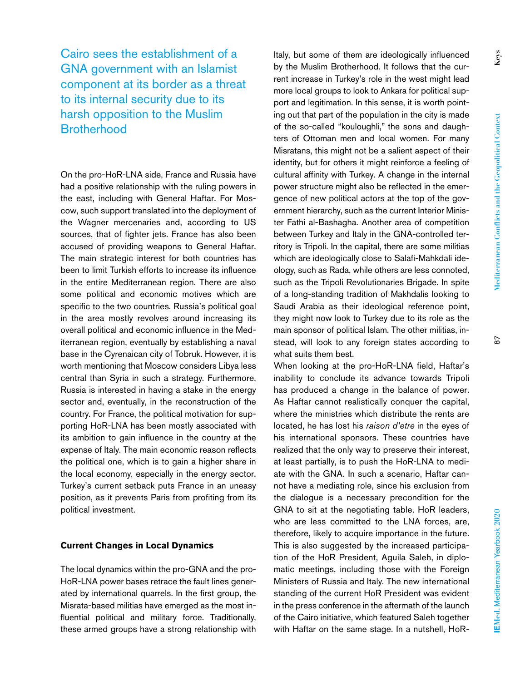Cairo sees the establishment of a GNA government with an Islamist component at its border as a threat to its internal security due to its harsh opposition to the Muslim **Brotherhood** 

On the pro-HoR-LNA side, France and Russia have had a positive relationship with the ruling powers in the east, including with General Haftar. For Moscow, such support translated into the deployment of the Wagner mercenaries and, according to US sources, that of fighter jets. France has also been accused of providing weapons to General Haftar. The main strategic interest for both countries has been to limit Turkish efforts to increase its influence in the entire Mediterranean region. There are also some political and economic motives which are specific to the two countries. Russia's political goal in the area mostly revolves around increasing its overall political and economic influence in the Mediterranean region, eventually by establishing a naval base in the Cyrenaican city of Tobruk. However, it is worth mentioning that Moscow considers Libya less central than Syria in such a strategy. Furthermore, Russia is interested in having a stake in the energy sector and, eventually, in the reconstruction of the country. For France, the political motivation for supporting HoR-LNA has been mostly associated with its ambition to gain influence in the country at the expense of Italy. The main economic reason reflects the political one, which is to gain a higher share in the local economy, especially in the energy sector. Turkey's current setback puts France in an uneasy position, as it prevents Paris from profiting from its political investment.

### **Current Changes in Local Dynamics**

The local dynamics within the pro-GNA and the pro-HoR-LNA power bases retrace the fault lines generated by international quarrels. In the first group, the Misrata-based militias have emerged as the most influential political and military force. Traditionally, these armed groups have a strong relationship with

Italy, but some of them are ideologically influenced by the Muslim Brotherhood. It follows that the current increase in Turkey's role in the west might lead more local groups to look to Ankara for political support and legitimation. In this sense, it is worth pointing out that part of the population in the city is made of the so-called "kouloughli," the sons and daughters of Ottoman men and local women. For many Misratans, this might not be a salient aspect of their identity, but for others it might reinforce a feeling of cultural affinity with Turkey. A change in the internal power structure might also be reflected in the emergence of new political actors at the top of the government hierarchy, such as the current Interior Minister Fathi al-Bashagha. Another area of competition between Turkey and Italy in the GNA-controlled territory is Tripoli. In the capital, there are some militias which are ideologically close to Salafi-Mahkdali ideology, such as Rada, while others are less connoted, such as the Tripoli Revolutionaries Brigade. In spite of a long-standing tradition of Makhdalis looking to Saudi Arabia as their ideological reference point, they might now look to Turkey due to its role as the main sponsor of political Islam. The other militias, instead, will look to any foreign states according to what suits them best.

When looking at the pro-HoR-LNA field, Haftar's inability to conclude its advance towards Tripoli has produced a change in the balance of power. As Haftar cannot realistically conquer the capital, where the ministries which distribute the rents are located, he has lost his *raison d'etre* in the eyes of his international sponsors. These countries have realized that the only way to preserve their interest, at least partially, is to push the HoR-LNA to mediate with the GNA. In such a scenario, Haftar cannot have a mediating role, since his exclusion from the dialogue is a necessary precondition for the GNA to sit at the negotiating table. HoR leaders, who are less committed to the LNA forces, are, therefore, likely to acquire importance in the future. This is also suggested by the increased participation of the HoR President, Aguila Saleh, in diplomatic meetings, including those with the Foreign Ministers of Russia and Italy. The new international standing of the current HoR President was evident in the press conference in the aftermath of the launch of the Cairo initiative, which featured Saleh together with Haftar on the same stage. In a nutshell, HoR-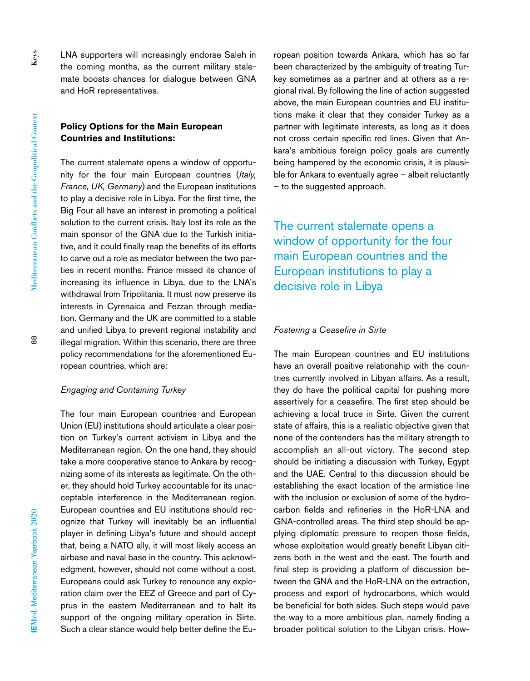LNA supporters will increasingly endorse Saleh in the coming months, as the current military stalemate boosts chances for dialogue between GNA and HoR representatives.

## **Policy Options for the Main European Countries and Institutions:**

The current stalemate opens a window of opportunity for the four main European countries (*Italy, France, UK, Germany*) and the European institutions to play a decisive role in Libya. For the first time, the Big Four all have an interest in promoting a political solution to the current crisis. Italy lost its role as the main sponsor of the GNA due to the Turkish initiative, and it could finally reap the benefits of its efforts to carve out a role as mediator between the two parties in recent months. France missed its chance of increasing its influence in Libya, due to the LNA's withdrawal from Tripolitania. It must now preserve its interests in Cyrenaica and Fezzan through mediation. Germany and the UK are committed to a stable and unified Libya to prevent regional instability and illegal migration. Within this scenario, there are three policy recommendations for the aforementioned European countries, which are:

#### *Engaging and Containing Turkey*

The four main European countries and European Union (EU) institutions should articulate a clear position on Turkey's current activism in Libya and the Mediterranean region. On the one hand, they should take a more cooperative stance to Ankara by recognizing some of its interests as legitimate. On the other, they should hold Turkey accountable for its unacceptable interference in the Mediterranean region. European countries and EU institutions should recognize that Turkey will inevitably be an influential player in defining Libya's future and should accept that, being a NATO ally, it will most likely access an airbase and naval base in the country. This acknowledgment, however, should not come without a cost. Europeans could ask Turkey to renounce any exploration claim over the EEZ of Greece and part of Cyprus in the eastern Mediterranean and to halt its support of the ongoing military operation in Sirte. Such a clear stance would help better define the European position towards Ankara, which has so far been characterized by the ambiguity of treating Turkey sometimes as a partner and at others as a regional rival. By following the line of action suggested above, the main European countries and EU institutions make it clear that they consider Turkey as a partner with legitimate interests, as long as it does not cross certain specific red lines. Given that Ankara's ambitious foreign policy goals are currently being hampered by the economic crisis, it is plausible for Ankara to eventually agree – albeit reluctantly – to the suggested approach.

The current stalemate opens a window of opportunity for the four main European countries and the European institutions to play a decisive role in Libya

### *Fostering a Ceasefire in Sirte*

The main European countries and EU institutions have an overall positive relationship with the countries currently involved in Libyan affairs. As a result, they do have the political capital for pushing more assertively for a ceasefire. The first step should be achieving a local truce in Sirte. Given the current state of affairs, this is a realistic objective given that none of the contenders has the military strength to accomplish an all-out victory. The second step should be initiating a discussion with Turkey, Egypt and the UAE. Central to this discussion should be establishing the exact location of the armistice line with the inclusion or exclusion of some of the hydrocarbon fields and refineries in the HoR-LNA and GNA-controlled areas. The third step should be applying diplomatic pressure to reopen those fields, whose exploitation would greatly benefit Libyan citizens both in the west and the east. The fourth and final step is providing a platform of discussion between the GNA and the HoR-LNA on the extraction, process and export of hydrocarbons, which would be beneficial for both sides. Such steps would pave the way to a more ambitious plan, namely finding a broader political solution to the Libyan crisis. How